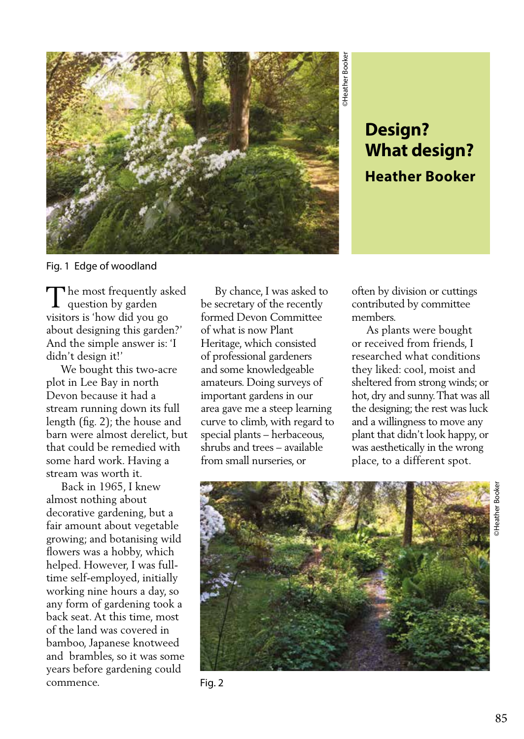

## **What design? Heather Booker**

Fig. 1 Edge of woodland

The most frequently asked<br>question by garden question by garden visitors is 'how did you go about designing this garden?' And the simple answer is: 'I didn't design it!'

 We bought this two-acre plot in Lee Bay in north Devon because it had a stream running down its full length (fig. 2); the house and barn were almost derelict, but that could be remedied with some hard work. Having a stream was worth it.

 Back in 1965, I knew almost nothing about decorative gardening, but a fair amount about vegetable growing; and botanising wild flowers was a hobby, which helped. However, I was fulltime self-employed, initially working nine hours a day, so any form of gardening took a back seat. At this time, most of the land was covered in bamboo, Japanese knotweed and brambles, so it was some years before gardening could commence.

 By chance, I was asked to be secretary of the recently formed Devon Committee of what is now Plant Heritage, which consisted of professional gardeners and some knowledgeable amateurs. Doing surveys of important gardens in our area gave me a steep learning curve to climb, with regard to special plants – herbaceous, shrubs and trees – available from small nurseries, or

often by division or cuttings contributed by committee members.

 As plants were bought or received from friends, I researched what conditions they liked: cool, moist and sheltered from strong winds; or hot, dry and sunny. That was all the designing; the rest was luck and a willingness to move any plant that didn't look happy, or was aesthetically in the wrong place, to a different spot.



Fig. 2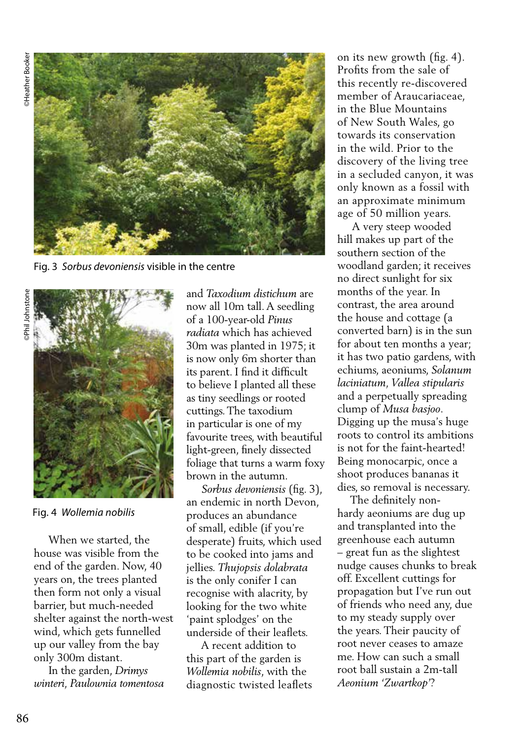©Phil Johnstone ⊃ **Heather Booker** 



Fig. 3 *Sorbus devoniensis* visible in the centre



Fig. 4 *Wollemia nobilis*

 When we started, the house was visible from the end of the garden. Now, 40 years on, the trees planted then form not only a visual barrier, but much-needed shelter against the north-west wind, which gets funnelled up our valley from the bay only 300m distant.

 In the garden, *Drimys winteri, Paulownia tomentosa* and *Taxodium distichum* are now all 10m tall. A seedling of a 100-year-old *Pinus radiata* which has achieved 30m was planted in 1975; it is now only 6m shorter than its parent. I find it difficult to believe I planted all these as tiny seedlings or rooted cuttings. The taxodium in particular is one of my favourite trees, with beautiful light-green, finely dissected foliage that turns a warm foxy brown in the autumn.

 *Sorbus devoniensis* (fig. 3), an endemic in north Devon, produces an abundance of small, edible (if you're desperate) fruits, which used to be cooked into jams and jellies. *Thujopsis dolabrata* is the only conifer I can recognise with alacrity, by looking for the two white 'paint splodges' on the underside of their leaflets.

 A recent addition to this part of the garden is *Wollemia nobilis*, with the diagnostic twisted leaflets on its new growth (fig. 4). Profits from the sale of this recently re-discovered member of Araucariaceae, in the Blue Mountains of New South Wales, go towards its conservation in the wild. Prior to the discovery of the living tree in a secluded canyon, it was only known as a fossil with an approximate minimum age of 50 million years.

 A very steep wooded hill makes up part of the southern section of the woodland garden; it receives no direct sunlight for six months of the year. In contrast, the area around the house and cottage (a converted barn) is in the sun for about ten months a year; it has two patio gardens, with echiums, aeoniums, *Solanum laciniatum, Vallea stipularis*  and a perpetually spreading clump of *Musa basjoo*. Digging up the musa's huge roots to control its ambitions is not for the faint-hearted! Being monocarpic, once a shoot produces bananas it dies, so removal is necessary.

 The definitely nonhardy aeoniums are dug up and transplanted into the greenhouse each autumn – great fun as the slightest nudge causes chunks to break off. Excellent cuttings for propagation but I've run out of friends who need any, due to my steady supply over the years. Their paucity of root never ceases to amaze me. How can such a small root ball sustain a 2m-tall *Aeonium 'Zwartkop'*?